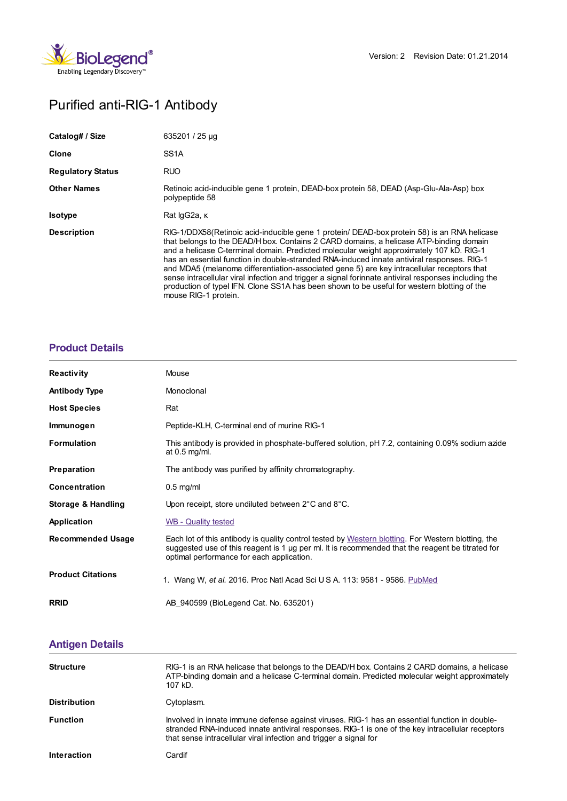

# Purified anti-RIG-1 Antibody

| Catalog# / Size          | 635201 / 25 µg                                                                                                                                                                                                                                                                                                                                                                                                                                                                                                                                                                                                                                                                                               |
|--------------------------|--------------------------------------------------------------------------------------------------------------------------------------------------------------------------------------------------------------------------------------------------------------------------------------------------------------------------------------------------------------------------------------------------------------------------------------------------------------------------------------------------------------------------------------------------------------------------------------------------------------------------------------------------------------------------------------------------------------|
| Clone                    | SS <sub>1</sub> A                                                                                                                                                                                                                                                                                                                                                                                                                                                                                                                                                                                                                                                                                            |
| <b>Regulatory Status</b> | <b>RUO</b>                                                                                                                                                                                                                                                                                                                                                                                                                                                                                                                                                                                                                                                                                                   |
| <b>Other Names</b>       | Retinoic acid-inducible gene 1 protein, DEAD-box protein 58, DEAD (Asp-Glu-Ala-Asp) box<br>polypeptide 58                                                                                                                                                                                                                                                                                                                                                                                                                                                                                                                                                                                                    |
| <b>Isotype</b>           | Rat IgG2a, K                                                                                                                                                                                                                                                                                                                                                                                                                                                                                                                                                                                                                                                                                                 |
| <b>Description</b>       | RIG-1/DDX58(Retinoic acid-inducible gene 1 protein/ DEAD-box protein 58) is an RNA helicase<br>that belongs to the DEAD/H box. Contains 2 CARD domains, a helicase ATP-binding domain<br>and a helicase C-terminal domain. Predicted molecular weight approximately 107 kD. RIG-1<br>has an essential function in double-stranded RNA-induced innate antiviral responses. RIG-1<br>and MDA5 (melanoma differentiation-associated gene 5) are key intracellular receptors that<br>sense intracellular viral infection and trigger a signal forinnate antiviral responses including the<br>production of typel IFN. Clone SS1A has been shown to be useful for western blotting of the<br>mouse RIG-1 protein. |

### **[Product](https://www.biolegend.com/de-de/products/purified-anti-rig-1-antibody-4387?pdf=true&displayInline=true&leftRightMargin=15&topBottomMargin=15&filename=Purified anti-RIG-1 Antibody.pdf#productDetails) Details**

| <b>Reactivity</b>        | Mouse                                                                                                                                                                                                                                               |
|--------------------------|-----------------------------------------------------------------------------------------------------------------------------------------------------------------------------------------------------------------------------------------------------|
| <b>Antibody Type</b>     | Monoclonal                                                                                                                                                                                                                                          |
| <b>Host Species</b>      | Rat                                                                                                                                                                                                                                                 |
| Immunogen                | Peptide-KLH, C-terminal end of murine RIG-1                                                                                                                                                                                                         |
| <b>Formulation</b>       | This antibody is provided in phosphate-buffered solution, pH 7.2, containing 0.09% sodium azide<br>at $0.5$ mg/ml.                                                                                                                                  |
| Preparation              | The antibody was purified by affinity chromatography.                                                                                                                                                                                               |
| <b>Concentration</b>     | $0.5$ mg/ml                                                                                                                                                                                                                                         |
| Storage & Handling       | Upon receipt, store undiluted between $2^{\circ}$ C and $8^{\circ}$ C.                                                                                                                                                                              |
| <b>Application</b>       | <b>WB - Quality tested</b>                                                                                                                                                                                                                          |
| <b>Recommended Usage</b> | Each lot of this antibody is quality control tested by Western blotting. For Western blotting, the<br>suggested use of this reagent is 1 µg per ml. It is recommended that the reagent be titrated for<br>optimal performance for each application. |
| <b>Product Citations</b> | 1. Wang W, et al. 2016. Proc Natl Acad Sci U S A. 113: 9581 - 9586. PubMed                                                                                                                                                                          |
| <b>RRID</b>              | AB 940599 (BioLegend Cat. No. 635201)                                                                                                                                                                                                               |

# **[Antigen](https://www.biolegend.com/de-de/products/purified-anti-rig-1-antibody-4387?pdf=true&displayInline=true&leftRightMargin=15&topBottomMargin=15&filename=Purified anti-RIG-1 Antibody.pdf#antigenDetails) Details**

| <b>Structure</b>    | RIG-1 is an RNA helicase that belongs to the DEAD/H box. Contains 2 CARD domains, a helicase<br>ATP-binding domain and a helicase C-terminal domain. Predicted molecular weight approximately<br>107 kD.                                                               |
|---------------------|------------------------------------------------------------------------------------------------------------------------------------------------------------------------------------------------------------------------------------------------------------------------|
| <b>Distribution</b> | Cytoplasm.                                                                                                                                                                                                                                                             |
| <b>Function</b>     | Involved in innate immune defense against viruses. RIG-1 has an essential function in double-<br>stranded RNA-induced innate antiviral responses. RIG-1 is one of the key intracellular receptors<br>that sense intracellular viral infection and trigger a signal for |
| <b>Interaction</b>  | Cardif                                                                                                                                                                                                                                                                 |